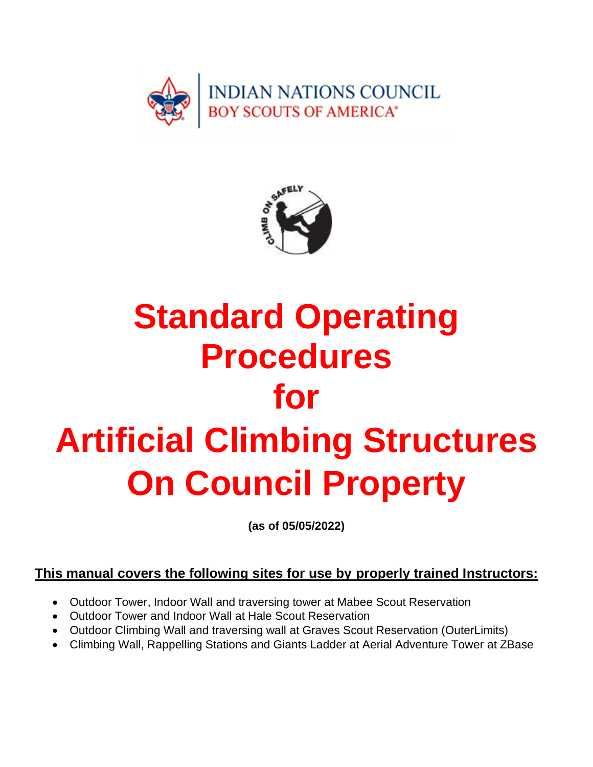



# **Standard Operating Procedures for Artificial Climbing Structures On Council Property**

**(as of 05/05/2022)**

#### **This manual covers the following sites for use by properly trained Instructors:**

- Outdoor Tower, Indoor Wall and traversing tower at Mabee Scout Reservation
- Outdoor Tower and Indoor Wall at Hale Scout Reservation
- Outdoor Climbing Wall and traversing wall at Graves Scout Reservation (OuterLimits)
- Climbing Wall, Rappelling Stations and Giants Ladder at Aerial Adventure Tower at ZBase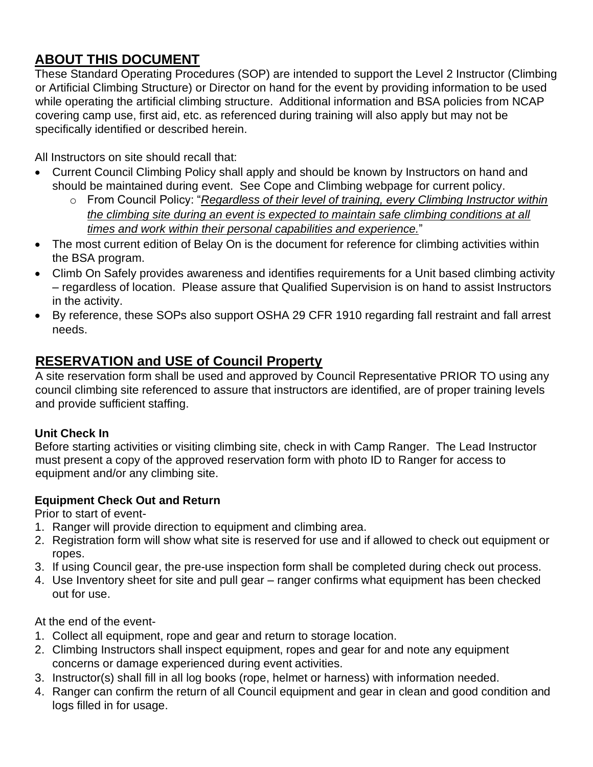#### **ABOUT THIS DOCUMENT**

These Standard Operating Procedures (SOP) are intended to support the Level 2 Instructor (Climbing or Artificial Climbing Structure) or Director on hand for the event by providing information to be used while operating the artificial climbing structure. Additional information and BSA policies from NCAP covering camp use, first aid, etc. as referenced during training will also apply but may not be specifically identified or described herein.

All Instructors on site should recall that:

- Current Council Climbing Policy shall apply and should be known by Instructors on hand and should be maintained during event. See Cope and Climbing webpage for current policy.
	- o From Council Policy: "*Regardless of their level of training, every Climbing Instructor within the climbing site during an event is expected to maintain safe climbing conditions at all times and work within their personal capabilities and experience.*"
- The most current edition of Belay On is the document for reference for climbing activities within the BSA program.
- Climb On Safely provides awareness and identifies requirements for a Unit based climbing activity – regardless of location. Please assure that Qualified Supervision is on hand to assist Instructors in the activity.
- By reference, these SOPs also support OSHA 29 CFR 1910 regarding fall restraint and fall arrest needs.

#### **RESERVATION and USE of Council Property**

A site reservation form shall be used and approved by Council Representative PRIOR TO using any council climbing site referenced to assure that instructors are identified, are of proper training levels and provide sufficient staffing.

#### **Unit Check In**

Before starting activities or visiting climbing site, check in with Camp Ranger. The Lead Instructor must present a copy of the approved reservation form with photo ID to Ranger for access to equipment and/or any climbing site.

#### **Equipment Check Out and Return**

Prior to start of event-

- 1. Ranger will provide direction to equipment and climbing area.
- 2. Registration form will show what site is reserved for use and if allowed to check out equipment or ropes.
- 3. If using Council gear, the pre-use inspection form shall be completed during check out process.
- 4. Use Inventory sheet for site and pull gear ranger confirms what equipment has been checked out for use.

At the end of the event-

- 1. Collect all equipment, rope and gear and return to storage location.
- 2. Climbing Instructors shall inspect equipment, ropes and gear for and note any equipment concerns or damage experienced during event activities.
- 3. Instructor(s) shall fill in all log books (rope, helmet or harness) with information needed.
- 4. Ranger can confirm the return of all Council equipment and gear in clean and good condition and logs filled in for usage.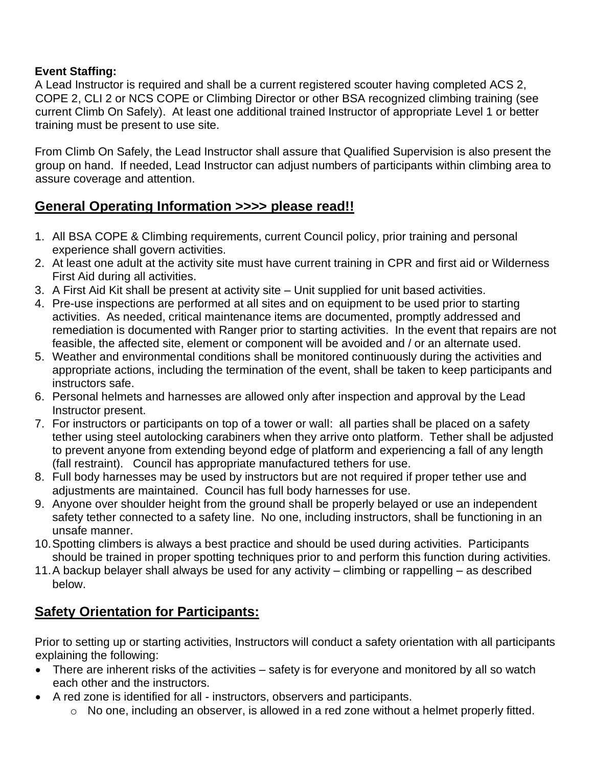#### **Event Staffing:**

A Lead Instructor is required and shall be a current registered scouter having completed ACS 2, COPE 2, CLI 2 or NCS COPE or Climbing Director or other BSA recognized climbing training (see current Climb On Safely). At least one additional trained Instructor of appropriate Level 1 or better training must be present to use site.

From Climb On Safely, the Lead Instructor shall assure that Qualified Supervision is also present the group on hand. If needed, Lead Instructor can adjust numbers of participants within climbing area to assure coverage and attention.

#### **General Operating Information >>>> please read!!**

- 1. All BSA COPE & Climbing requirements, current Council policy, prior training and personal experience shall govern activities.
- 2. At least one adult at the activity site must have current training in CPR and first aid or Wilderness First Aid during all activities.
- 3. A First Aid Kit shall be present at activity site Unit supplied for unit based activities.
- 4. Pre-use inspections are performed at all sites and on equipment to be used prior to starting activities. As needed, critical maintenance items are documented, promptly addressed and remediation is documented with Ranger prior to starting activities. In the event that repairs are not feasible, the affected site, element or component will be avoided and / or an alternate used.
- 5. Weather and environmental conditions shall be monitored continuously during the activities and appropriate actions, including the termination of the event, shall be taken to keep participants and instructors safe.
- 6. Personal helmets and harnesses are allowed only after inspection and approval by the Lead Instructor present.
- 7. For instructors or participants on top of a tower or wall: all parties shall be placed on a safety tether using steel autolocking carabiners when they arrive onto platform. Tether shall be adjusted to prevent anyone from extending beyond edge of platform and experiencing a fall of any length (fall restraint). Council has appropriate manufactured tethers for use.
- 8. Full body harnesses may be used by instructors but are not required if proper tether use and adjustments are maintained. Council has full body harnesses for use.
- 9. Anyone over shoulder height from the ground shall be properly belayed or use an independent safety tether connected to a safety line. No one, including instructors, shall be functioning in an unsafe manner.
- 10.Spotting climbers is always a best practice and should be used during activities. Participants should be trained in proper spotting techniques prior to and perform this function during activities.
- 11.A backup belayer shall always be used for any activity climbing or rappelling as described below.

#### **Safety Orientation for Participants:**

Prior to setting up or starting activities, Instructors will conduct a safety orientation with all participants explaining the following:

- There are inherent risks of the activities safety is for everyone and monitored by all so watch each other and the instructors.
- A red zone is identified for all instructors, observers and participants.
	- $\circ$  No one, including an observer, is allowed in a red zone without a helmet properly fitted.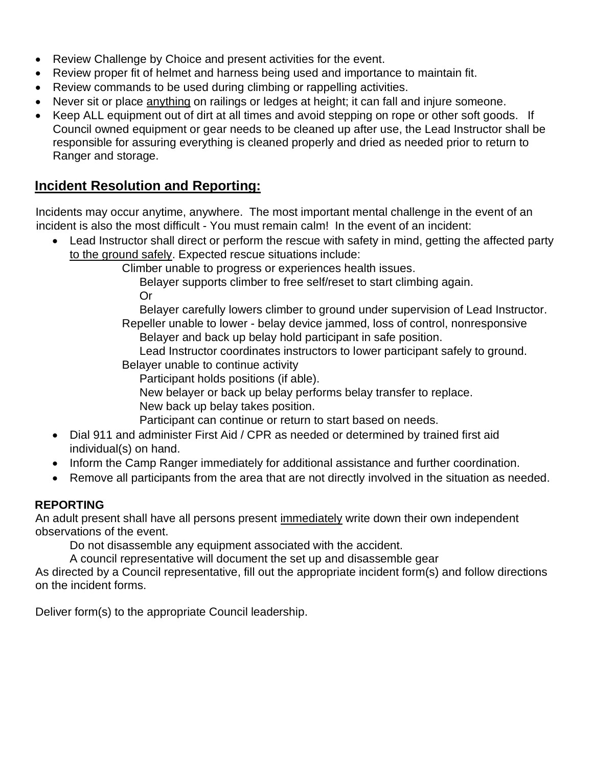- Review Challenge by Choice and present activities for the event.
- Review proper fit of helmet and harness being used and importance to maintain fit.
- Review commands to be used during climbing or rappelling activities.
- Never sit or place anything on railings or ledges at height; it can fall and injure someone.
- Keep ALL equipment out of dirt at all times and avoid stepping on rope or other soft goods. If Council owned equipment or gear needs to be cleaned up after use, the Lead Instructor shall be responsible for assuring everything is cleaned properly and dried as needed prior to return to Ranger and storage.

#### **Incident Resolution and Reporting:**

Incidents may occur anytime, anywhere. The most important mental challenge in the event of an incident is also the most difficult - You must remain calm! In the event of an incident:

• Lead Instructor shall direct or perform the rescue with safety in mind, getting the affected party to the ground safely. Expected rescue situations include:

Climber unable to progress or experiences health issues.

Belayer supports climber to free self/reset to start climbing again. Or

Belayer carefully lowers climber to ground under supervision of Lead Instructor.

Repeller unable to lower - belay device jammed, loss of control, nonresponsive Belayer and back up belay hold participant in safe position.

Lead Instructor coordinates instructors to lower participant safely to ground.

Belayer unable to continue activity

Participant holds positions (if able).

- New belayer or back up belay performs belay transfer to replace.
- New back up belay takes position.

Participant can continue or return to start based on needs.

- Dial 911 and administer First Aid / CPR as needed or determined by trained first aid individual(s) on hand.
- Inform the Camp Ranger immediately for additional assistance and further coordination.
- Remove all participants from the area that are not directly involved in the situation as needed.

#### **REPORTING**

An adult present shall have all persons present immediately write down their own independent observations of the event.

Do not disassemble any equipment associated with the accident.

A council representative will document the set up and disassemble gear

As directed by a Council representative, fill out the appropriate incident form(s) and follow directions on the incident forms.

Deliver form(s) to the appropriate Council leadership.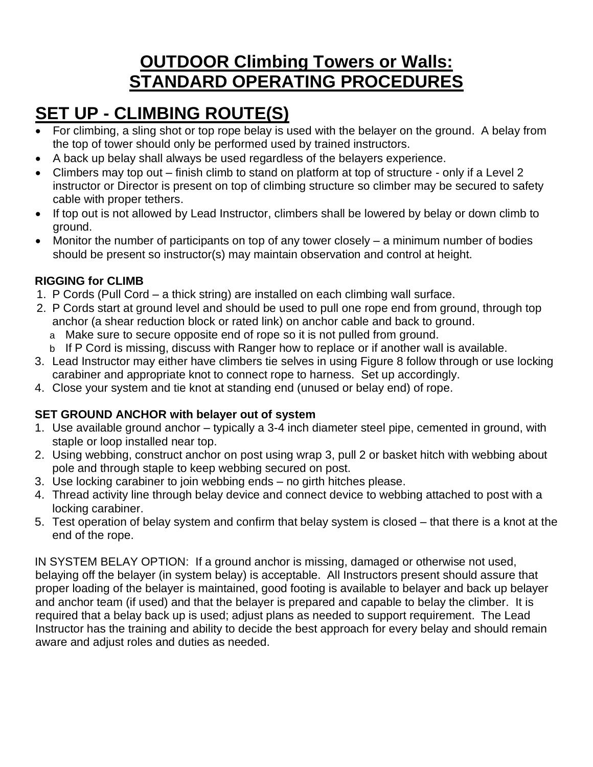### **OUTDOOR Climbing Towers or Walls: STANDARD OPERATING PROCEDURES**

### **SET UP - CLIMBING ROUTE(S)**

- For climbing, a sling shot or top rope belay is used with the belayer on the ground. A belay from the top of tower should only be performed used by trained instructors.
- A back up belay shall always be used regardless of the belayers experience.
- Climbers may top out finish climb to stand on platform at top of structure only if a Level 2 instructor or Director is present on top of climbing structure so climber may be secured to safety cable with proper tethers.
- If top out is not allowed by Lead Instructor, climbers shall be lowered by belay or down climb to ground.
- Monitor the number of participants on top of any tower closely a minimum number of bodies should be present so instructor(s) may maintain observation and control at height.

#### **RIGGING for CLIMB**

- 1. P Cords (Pull Cord a thick string) are installed on each climbing wall surface.
- 2. P Cords start at ground level and should be used to pull one rope end from ground, through top anchor (a shear reduction block or rated link) on anchor cable and back to ground.
	- a Make sure to secure opposite end of rope so it is not pulled from ground.
	- b If P Cord is missing, discuss with Ranger how to replace or if another wall is available.
- 3. Lead Instructor may either have climbers tie selves in using Figure 8 follow through or use locking carabiner and appropriate knot to connect rope to harness. Set up accordingly.
- 4. Close your system and tie knot at standing end (unused or belay end) of rope.

#### **SET GROUND ANCHOR with belayer out of system**

- 1. Use available ground anchor typically a 3-4 inch diameter steel pipe, cemented in ground, with staple or loop installed near top.
- 2. Using webbing, construct anchor on post using wrap 3, pull 2 or basket hitch with webbing about pole and through staple to keep webbing secured on post.
- 3. Use locking carabiner to join webbing ends no girth hitches please.
- 4. Thread activity line through belay device and connect device to webbing attached to post with a locking carabiner.
- 5. Test operation of belay system and confirm that belay system is closed that there is a knot at the end of the rope.

IN SYSTEM BELAY OPTION: If a ground anchor is missing, damaged or otherwise not used, belaying off the belayer (in system belay) is acceptable. All Instructors present should assure that proper loading of the belayer is maintained, good footing is available to belayer and back up belayer and anchor team (if used) and that the belayer is prepared and capable to belay the climber. It is required that a belay back up is used; adjust plans as needed to support requirement. The Lead Instructor has the training and ability to decide the best approach for every belay and should remain aware and adjust roles and duties as needed.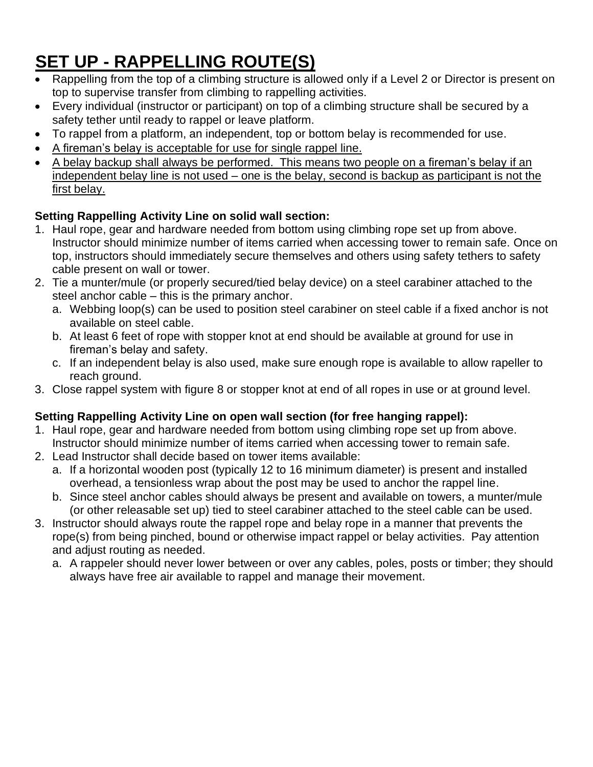### **SET UP - RAPPELLING ROUTE(S)**

- Rappelling from the top of a climbing structure is allowed only if a Level 2 or Director is present on top to supervise transfer from climbing to rappelling activities.
- Every individual (instructor or participant) on top of a climbing structure shall be secured by a safety tether until ready to rappel or leave platform.
- To rappel from a platform, an independent, top or bottom belay is recommended for use.
- A fireman's belay is acceptable for use for single rappel line.
- A belay backup shall always be performed. This means two people on a fireman's belay if an independent belay line is not used – one is the belay, second is backup as participant is not the first belay.

#### **Setting Rappelling Activity Line on solid wall section:**

- 1. Haul rope, gear and hardware needed from bottom using climbing rope set up from above. Instructor should minimize number of items carried when accessing tower to remain safe. Once on top, instructors should immediately secure themselves and others using safety tethers to safety cable present on wall or tower.
- 2. Tie a munter/mule (or properly secured/tied belay device) on a steel carabiner attached to the steel anchor cable – this is the primary anchor.
	- a. Webbing loop(s) can be used to position steel carabiner on steel cable if a fixed anchor is not available on steel cable.
	- b. At least 6 feet of rope with stopper knot at end should be available at ground for use in fireman's belay and safety.
	- c. If an independent belay is also used, make sure enough rope is available to allow rapeller to reach ground.
- 3. Close rappel system with figure 8 or stopper knot at end of all ropes in use or at ground level.

#### **Setting Rappelling Activity Line on open wall section (for free hanging rappel):**

- 1. Haul rope, gear and hardware needed from bottom using climbing rope set up from above. Instructor should minimize number of items carried when accessing tower to remain safe.
- 2. Lead Instructor shall decide based on tower items available:
	- a. If a horizontal wooden post (typically 12 to 16 minimum diameter) is present and installed overhead, a tensionless wrap about the post may be used to anchor the rappel line.
	- b. Since steel anchor cables should always be present and available on towers, a munter/mule (or other releasable set up) tied to steel carabiner attached to the steel cable can be used.
- 3. Instructor should always route the rappel rope and belay rope in a manner that prevents the rope(s) from being pinched, bound or otherwise impact rappel or belay activities. Pay attention and adjust routing as needed.
	- a. A rappeler should never lower between or over any cables, poles, posts or timber; they should always have free air available to rappel and manage their movement.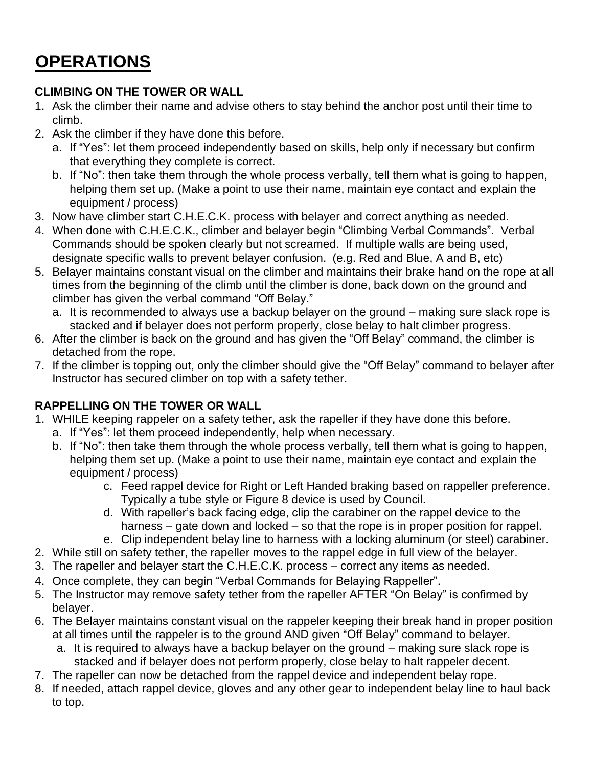### **OPERATIONS**

#### **CLIMBING ON THE TOWER OR WALL**

- 1. Ask the climber their name and advise others to stay behind the anchor post until their time to climb.
- 2. Ask the climber if they have done this before.
	- a. If "Yes": let them proceed independently based on skills, help only if necessary but confirm that everything they complete is correct.
	- b. If "No": then take them through the whole process verbally, tell them what is going to happen, helping them set up. (Make a point to use their name, maintain eye contact and explain the equipment / process)
- 3. Now have climber start C.H.E.C.K. process with belayer and correct anything as needed.
- 4. When done with C.H.E.C.K., climber and belayer begin "Climbing Verbal Commands". Verbal Commands should be spoken clearly but not screamed. If multiple walls are being used, designate specific walls to prevent belayer confusion. (e.g. Red and Blue, A and B, etc)
- 5. Belayer maintains constant visual on the climber and maintains their brake hand on the rope at all times from the beginning of the climb until the climber is done, back down on the ground and climber has given the verbal command "Off Belay."
	- a. It is recommended to always use a backup belayer on the ground making sure slack rope is stacked and if belayer does not perform properly, close belay to halt climber progress.
- 6. After the climber is back on the ground and has given the "Off Belay" command, the climber is detached from the rope.
- 7. If the climber is topping out, only the climber should give the "Off Belay" command to belayer after Instructor has secured climber on top with a safety tether.

#### **RAPPELLING ON THE TOWER OR WALL**

- 1. WHILE keeping rappeler on a safety tether, ask the rapeller if they have done this before.
	- a. If "Yes": let them proceed independently, help when necessary.
	- b. If "No": then take them through the whole process verbally, tell them what is going to happen, helping them set up. (Make a point to use their name, maintain eye contact and explain the equipment / process)
		- c. Feed rappel device for Right or Left Handed braking based on rappeller preference. Typically a tube style or Figure 8 device is used by Council.
		- d. With rapeller's back facing edge, clip the carabiner on the rappel device to the harness – gate down and locked – so that the rope is in proper position for rappel.
		- e. Clip independent belay line to harness with a locking aluminum (or steel) carabiner.
- 2. While still on safety tether, the rapeller moves to the rappel edge in full view of the belayer.
- 3. The rapeller and belayer start the C.H.E.C.K. process correct any items as needed.
- 4. Once complete, they can begin "Verbal Commands for Belaying Rappeller".
- 5. The Instructor may remove safety tether from the rapeller AFTER "On Belay" is confirmed by belayer.
- 6. The Belayer maintains constant visual on the rappeler keeping their break hand in proper position at all times until the rappeler is to the ground AND given "Off Belay" command to belayer.
	- a. It is required to always have a backup belayer on the ground making sure slack rope is stacked and if belayer does not perform properly, close belay to halt rappeler decent.
- 7. The rapeller can now be detached from the rappel device and independent belay rope.
- 8. If needed, attach rappel device, gloves and any other gear to independent belay line to haul back to top.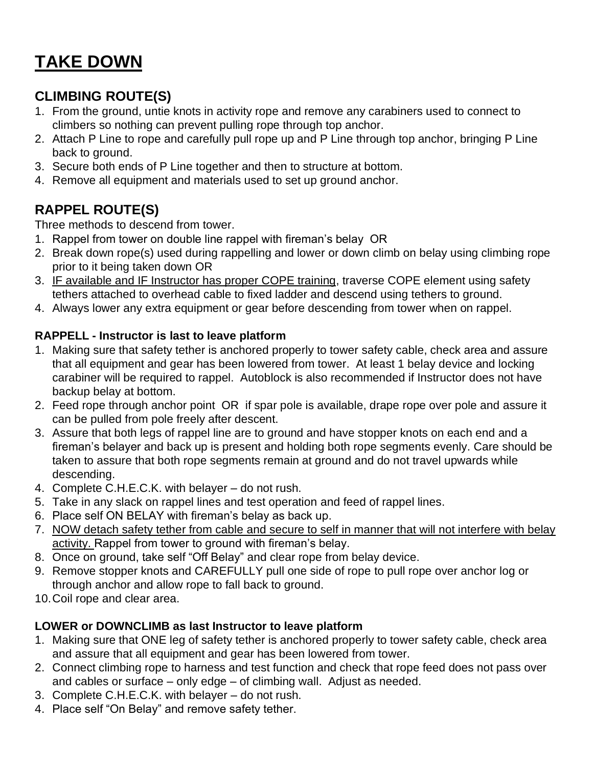### **TAKE DOWN**

#### **CLIMBING ROUTE(S)**

- 1. From the ground, untie knots in activity rope and remove any carabiners used to connect to climbers so nothing can prevent pulling rope through top anchor.
- 2. Attach P Line to rope and carefully pull rope up and P Line through top anchor, bringing P Line back to ground.
- 3. Secure both ends of P Line together and then to structure at bottom.
- 4. Remove all equipment and materials used to set up ground anchor.

#### **RAPPEL ROUTE(S)**

Three methods to descend from tower.

- 1. Rappel from tower on double line rappel with fireman's belay OR
- 2. Break down rope(s) used during rappelling and lower or down climb on belay using climbing rope prior to it being taken down OR
- 3. IF available and IF Instructor has proper COPE training, traverse COPE element using safety tethers attached to overhead cable to fixed ladder and descend using tethers to ground.
- 4. Always lower any extra equipment or gear before descending from tower when on rappel.

#### **RAPPELL - Instructor is last to leave platform**

- 1. Making sure that safety tether is anchored properly to tower safety cable, check area and assure that all equipment and gear has been lowered from tower. At least 1 belay device and locking carabiner will be required to rappel. Autoblock is also recommended if Instructor does not have backup belay at bottom.
- 2. Feed rope through anchor point OR if spar pole is available, drape rope over pole and assure it can be pulled from pole freely after descent.
- 3. Assure that both legs of rappel line are to ground and have stopper knots on each end and a fireman's belayer and back up is present and holding both rope segments evenly. Care should be taken to assure that both rope segments remain at ground and do not travel upwards while descending.
- 4. Complete C.H.E.C.K. with belayer do not rush.
- 5. Take in any slack on rappel lines and test operation and feed of rappel lines.
- 6. Place self ON BELAY with fireman's belay as back up.
- 7. NOW detach safety tether from cable and secure to self in manner that will not interfere with belay activity. Rappel from tower to ground with fireman's belay.
- 8. Once on ground, take self "Off Belay" and clear rope from belay device.
- 9. Remove stopper knots and CAREFULLY pull one side of rope to pull rope over anchor log or through anchor and allow rope to fall back to ground.
- 10.Coil rope and clear area.

#### **LOWER or DOWNCLIMB as last Instructor to leave platform**

- 1. Making sure that ONE leg of safety tether is anchored properly to tower safety cable, check area and assure that all equipment and gear has been lowered from tower.
- 2. Connect climbing rope to harness and test function and check that rope feed does not pass over and cables or surface – only edge – of climbing wall. Adjust as needed.
- 3. Complete C.H.E.C.K. with belayer do not rush.
- 4. Place self "On Belay" and remove safety tether.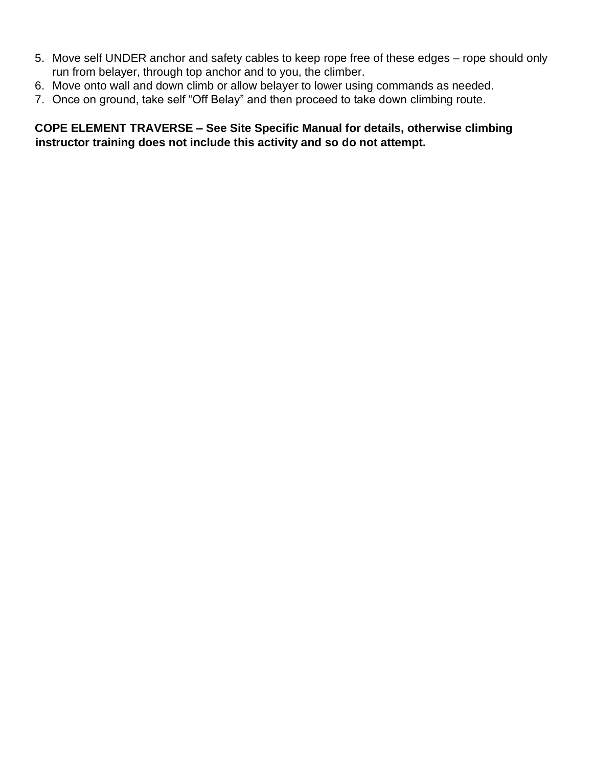- 5. Move self UNDER anchor and safety cables to keep rope free of these edges rope should only run from belayer, through top anchor and to you, the climber.
- 6. Move onto wall and down climb or allow belayer to lower using commands as needed.
- 7. Once on ground, take self "Off Belay" and then proceed to take down climbing route.

**COPE ELEMENT TRAVERSE – See Site Specific Manual for details, otherwise climbing instructor training does not include this activity and so do not attempt.**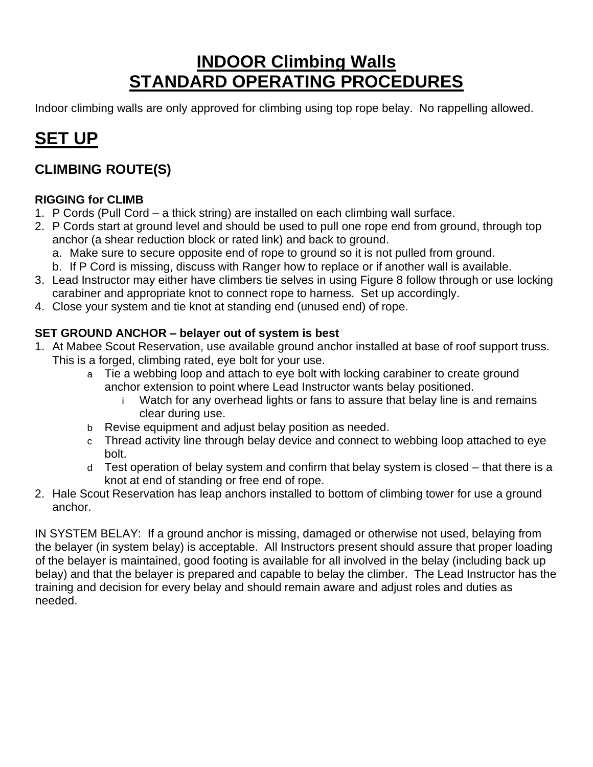### **INDOOR Climbing Walls STANDARD OPERATING PROCEDURES**

Indoor climbing walls are only approved for climbing using top rope belay. No rappelling allowed.

### **SET UP**

#### **CLIMBING ROUTE(S)**

#### **RIGGING for CLIMB**

- 1. P Cords (Pull Cord a thick string) are installed on each climbing wall surface.
- 2. P Cords start at ground level and should be used to pull one rope end from ground, through top anchor (a shear reduction block or rated link) and back to ground.
	- a. Make sure to secure opposite end of rope to ground so it is not pulled from ground.
	- b. If P Cord is missing, discuss with Ranger how to replace or if another wall is available.
- 3. Lead Instructor may either have climbers tie selves in using Figure 8 follow through or use locking carabiner and appropriate knot to connect rope to harness. Set up accordingly.
- 4. Close your system and tie knot at standing end (unused end) of rope.

#### **SET GROUND ANCHOR – belayer out of system is best**

- 1. At Mabee Scout Reservation, use available ground anchor installed at base of roof support truss. This is a forged, climbing rated, eye bolt for your use.
	- a Tie a webbing loop and attach to eye bolt with locking carabiner to create ground anchor extension to point where Lead Instructor wants belay positioned.
		- i Watch for any overhead lights or fans to assure that belay line is and remains clear during use.
	- b Revise equipment and adjust belay position as needed.
	- c Thread activity line through belay device and connect to webbing loop attached to eye bolt.
	- d Test operation of belay system and confirm that belay system is closed that there is a knot at end of standing or free end of rope.
- 2. Hale Scout Reservation has leap anchors installed to bottom of climbing tower for use a ground anchor.

IN SYSTEM BELAY: If a ground anchor is missing, damaged or otherwise not used, belaying from the belayer (in system belay) is acceptable. All Instructors present should assure that proper loading of the belayer is maintained, good footing is available for all involved in the belay (including back up belay) and that the belayer is prepared and capable to belay the climber. The Lead Instructor has the training and decision for every belay and should remain aware and adjust roles and duties as needed.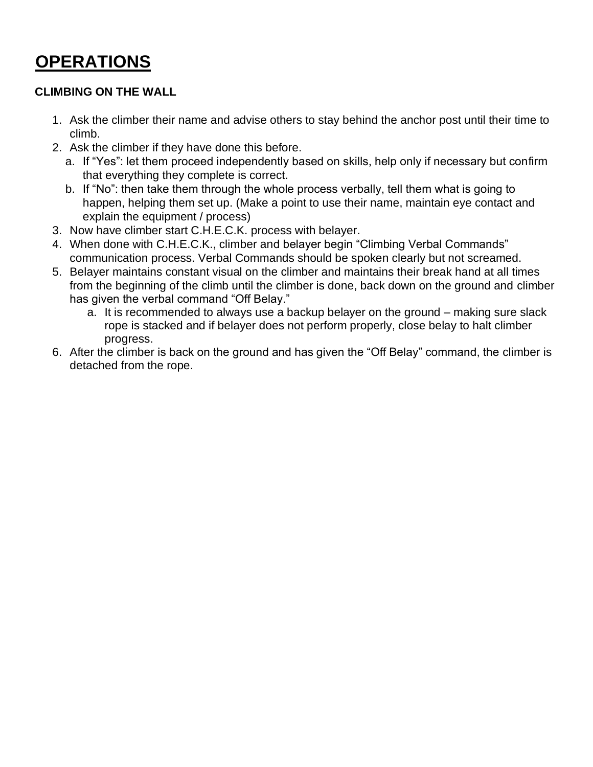### **OPERATIONS**

#### **CLIMBING ON THE WALL**

- 1. Ask the climber their name and advise others to stay behind the anchor post until their time to climb.
- 2. Ask the climber if they have done this before.
	- a. If "Yes": let them proceed independently based on skills, help only if necessary but confirm that everything they complete is correct.
	- b. If "No": then take them through the whole process verbally, tell them what is going to happen, helping them set up. (Make a point to use their name, maintain eye contact and explain the equipment / process)
- 3. Now have climber start C.H.E.C.K. process with belayer.
- 4. When done with C.H.E.C.K., climber and belayer begin "Climbing Verbal Commands" communication process. Verbal Commands should be spoken clearly but not screamed.
- 5. Belayer maintains constant visual on the climber and maintains their break hand at all times from the beginning of the climb until the climber is done, back down on the ground and climber has given the verbal command "Off Belay."
	- a. It is recommended to always use a backup belayer on the ground making sure slack rope is stacked and if belayer does not perform properly, close belay to halt climber progress.
- 6. After the climber is back on the ground and has given the "Off Belay" command, the climber is detached from the rope.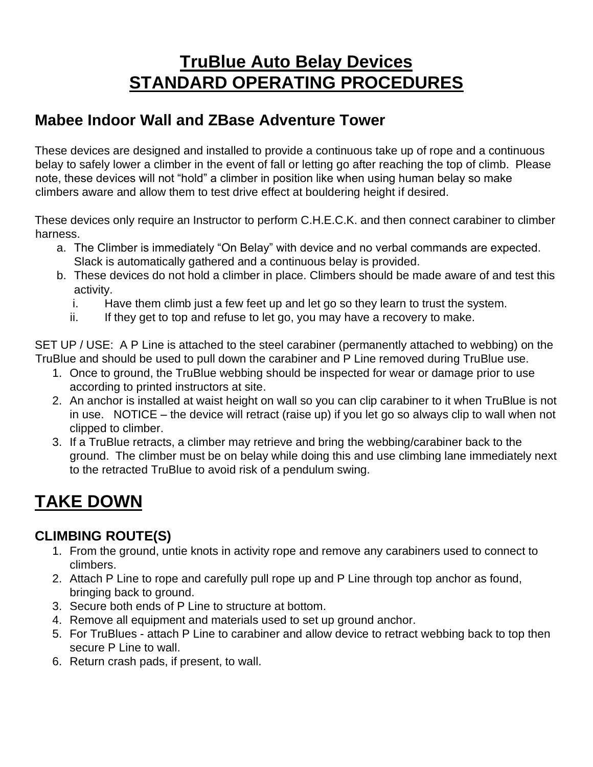### **TruBlue Auto Belay Devices STANDARD OPERATING PROCEDURES**

#### **Mabee Indoor Wall and ZBase Adventure Tower**

These devices are designed and installed to provide a continuous take up of rope and a continuous belay to safely lower a climber in the event of fall or letting go after reaching the top of climb. Please note, these devices will not "hold" a climber in position like when using human belay so make climbers aware and allow them to test drive effect at bouldering height if desired.

These devices only require an Instructor to perform C.H.E.C.K. and then connect carabiner to climber harness.

- a. The Climber is immediately "On Belay" with device and no verbal commands are expected. Slack is automatically gathered and a continuous belay is provided.
- b. These devices do not hold a climber in place. Climbers should be made aware of and test this activity.
	- i. Have them climb just a few feet up and let go so they learn to trust the system.
	- ii. If they get to top and refuse to let go, you may have a recovery to make.

SET UP / USE: A P Line is attached to the steel carabiner (permanently attached to webbing) on the TruBlue and should be used to pull down the carabiner and P Line removed during TruBlue use.

- 1. Once to ground, the TruBlue webbing should be inspected for wear or damage prior to use according to printed instructors at site.
- 2. An anchor is installed at waist height on wall so you can clip carabiner to it when TruBlue is not in use. NOTICE – the device will retract (raise up) if you let go so always clip to wall when not clipped to climber.
- 3. If a TruBlue retracts, a climber may retrieve and bring the webbing/carabiner back to the ground. The climber must be on belay while doing this and use climbing lane immediately next to the retracted TruBlue to avoid risk of a pendulum swing.

### **TAKE DOWN**

#### **CLIMBING ROUTE(S)**

- 1. From the ground, untie knots in activity rope and remove any carabiners used to connect to climbers.
- 2. Attach P Line to rope and carefully pull rope up and P Line through top anchor as found, bringing back to ground.
- 3. Secure both ends of P Line to structure at bottom.
- 4. Remove all equipment and materials used to set up ground anchor.
- 5. For TruBlues attach P Line to carabiner and allow device to retract webbing back to top then secure P Line to wall.
- 6. Return crash pads, if present, to wall.